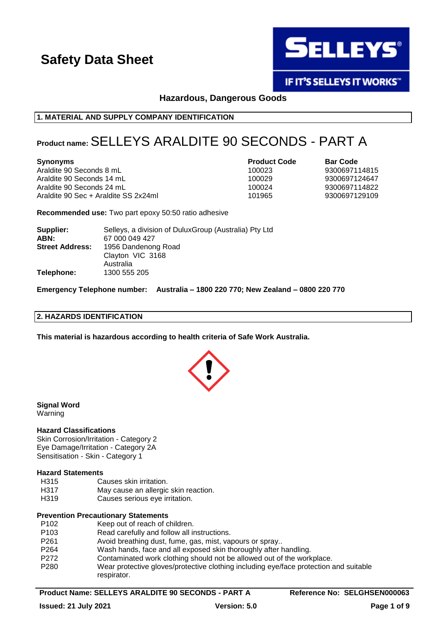

**IF IT'S SELLEYS IT WORKS"** 

**Hazardous, Dangerous Goods**

### **1. MATERIAL AND SUPPLY COMPANY IDENTIFICATION**

# **Product name:**SELLEYS ARALDITE 90 SECONDS - PART A

Araldite 90 Seconds 8 mL 100023 9300697114815 Araldite 90 Seconds 14 mL Araldite 90 Seconds 24 mL Araldite 90 Sec + Araldite SS 2x24ml 101965 9300697129109

**Synonyms Product Code Bar Code**

**Recommended use:** Two part epoxy 50:50 ratio adhesive

| Supplier:              | Selleys, a division of DuluxGroup (Australia) Pty Ltd |
|------------------------|-------------------------------------------------------|
| ABN:                   | 67 000 049 427                                        |
| <b>Street Address:</b> | 1956 Dandenong Road                                   |
|                        | Clayton VIC 3168                                      |
|                        | Australia                                             |
| Telephone:             | 1300 555 205                                          |

**Emergency Telephone number: Australia – 1800 220 770; New Zealand – 0800 220 770**

### **2. HAZARDS IDENTIFICATION**

**This material is hazardous according to health criteria of Safe Work Australia.**



**Signal Word** Warning

### **Hazard Classifications**

Skin Corrosion/Irritation - Category 2 Eye Damage/Irritation - Category 2A Sensitisation - Skin - Category 1

### **Hazard Statements**

- H315 Causes skin irritation.
- H317 May cause an allergic skin reaction.
- H319 Causes serious eve irritation.

### **Prevention Precautionary Statements**

P102 Keep out of reach of children. P103 Read carefully and follow all instructions. P261 Avoid breathing dust, fume, gas, mist, vapours or spray.. P264 Wash hands, face and all exposed skin thoroughly after handling. P272 Contaminated work clothing should not be allowed out of the workplace. P280 Wear protective gloves/protective clothing including eye/face protection and suitable respirator.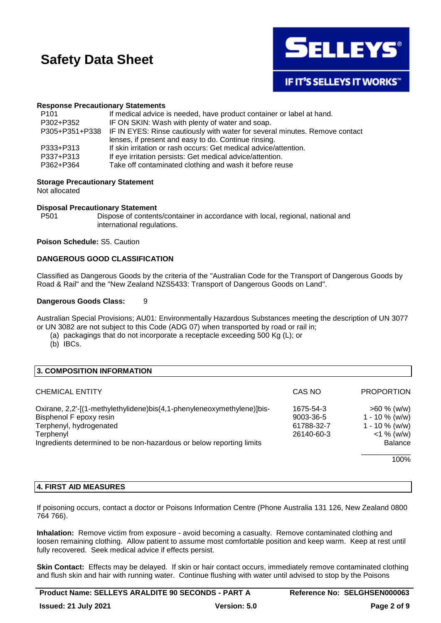

### **Response Precautionary Statements**

| P <sub>101</sub> | If medical advice is needed, have product container or label at hand.                      |
|------------------|--------------------------------------------------------------------------------------------|
| P302+P352        | IF ON SKIN: Wash with plenty of water and soap.                                            |
|                  | P305+P351+P338 IF IN EYES: Rinse cautiously with water for several minutes. Remove contact |
|                  | lenses, if present and easy to do. Continue rinsing.                                       |
| P333+P313        | If skin irritation or rash occurs: Get medical advice/attention.                           |
| P337+P313        | If eye irritation persists: Get medical advice/attention.                                  |
| P362+P364        | Take off contaminated clothing and wash it before reuse                                    |
|                  |                                                                                            |

### **Storage Precautionary Statement**

Not allocated

### **Disposal Precautionary Statement**

P501 Dispose of contents/container in accordance with local, regional, national and international regulations.

### **Poison Schedule:** S5. Caution

### **DANGEROUS GOOD CLASSIFICATION**

Classified as Dangerous Goods by the criteria of the "Australian Code for the Transport of Dangerous Goods by Road & Rail" and the "New Zealand NZS5433: Transport of Dangerous Goods on Land".

### **Dangerous Goods Class:** 9

Australian Special Provisions; AU01: Environmentally Hazardous Substances meeting the description of UN 3077 or UN 3082 are not subject to this Code (ADG 07) when transported by road or rail in;

(a) packagings that do not incorporate a receptacle exceeding 500 Kg (L); or

(b) IBCs.

| 3. COMPOSITION INFORMATION                                             |            |                   |
|------------------------------------------------------------------------|------------|-------------------|
| <b>CHEMICAL ENTITY</b>                                                 | CAS NO     | <b>PROPORTION</b> |
| Oxirane, 2,2'-[(1-methylethylidene)bis(4,1-phenyleneoxymethylene)]bis- | 1675-54-3  | $>60 \%$ (w/w)    |
| Bisphenol F epoxy resin                                                | 9003-36-5  | 1 - 10 % (w/w)    |
| Terphenyl, hydrogenated                                                | 61788-32-7 | $1 - 10 \%$ (w/w) |
| Terphenyl                                                              | 26140-60-3 | $<$ 1 % (w/w)     |
| Ingredients determined to be non-hazardous or below reporting limits   |            | <b>Balance</b>    |
|                                                                        |            | 100%              |

### **4. FIRST AID MEASURES**

If poisoning occurs, contact a doctor or Poisons Information Centre (Phone Australia 131 126, New Zealand 0800 764 766).

**Inhalation:** Remove victim from exposure - avoid becoming a casualty. Remove contaminated clothing and loosen remaining clothing. Allow patient to assume most comfortable position and keep warm. Keep at rest until fully recovered. Seek medical advice if effects persist.

**Skin Contact:** Effects may be delayed. If skin or hair contact occurs, immediately remove contaminated clothing and flush skin and hair with running water. Continue flushing with water until advised to stop by the Poisons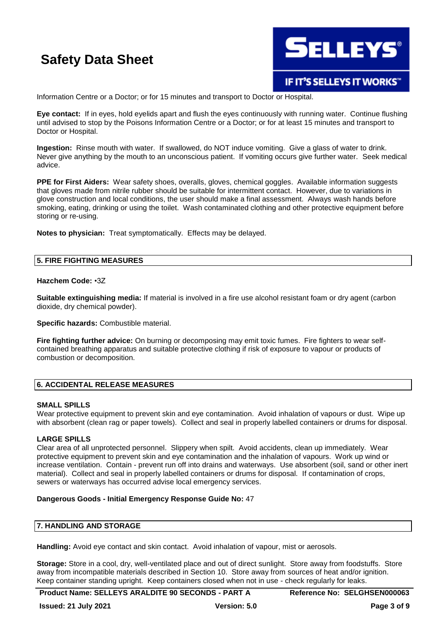

Information Centre or a Doctor; or for 15 minutes and transport to Doctor or Hospital.

**Eye contact:** If in eyes, hold eyelids apart and flush the eyes continuously with running water. Continue flushing until advised to stop by the Poisons Information Centre or a Doctor; or for at least 15 minutes and transport to Doctor or Hospital.

**Ingestion:** Rinse mouth with water. If swallowed, do NOT induce vomiting. Give a glass of water to drink. Never give anything by the mouth to an unconscious patient. If vomiting occurs give further water. Seek medical advice.

**PPE for First Aiders:** Wear safety shoes, overalls, gloves, chemical goggles. Available information suggests that gloves made from nitrile rubber should be suitable for intermittent contact. However, due to variations in glove construction and local conditions, the user should make a final assessment. Always wash hands before smoking, eating, drinking or using the toilet. Wash contaminated clothing and other protective equipment before storing or re-using.

**Notes to physician:** Treat symptomatically. Effects may be delayed.

### **5. FIRE FIGHTING MEASURES**

### **Hazchem Code:** •3Z

**Suitable extinguishing media:** If material is involved in a fire use alcohol resistant foam or dry agent (carbon dioxide, dry chemical powder).

**Specific hazards:** Combustible material.

**Fire fighting further advice:** On burning or decomposing may emit toxic fumes. Fire fighters to wear selfcontained breathing apparatus and suitable protective clothing if risk of exposure to vapour or products of combustion or decomposition.

### **6. ACCIDENTAL RELEASE MEASURES**

### **SMALL SPILLS**

Wear protective equipment to prevent skin and eye contamination. Avoid inhalation of vapours or dust. Wipe up with absorbent (clean rag or paper towels). Collect and seal in properly labelled containers or drums for disposal.

### **LARGE SPILLS**

Clear area of all unprotected personnel. Slippery when spilt. Avoid accidents, clean up immediately. Wear protective equipment to prevent skin and eye contamination and the inhalation of vapours. Work up wind or increase ventilation. Contain - prevent run off into drains and waterways. Use absorbent (soil, sand or other inert material). Collect and seal in properly labelled containers or drums for disposal. If contamination of crops, sewers or waterways has occurred advise local emergency services.

### **Dangerous Goods - Initial Emergency Response Guide No:** 47

### **7. HANDLING AND STORAGE**

**Handling:** Avoid eye contact and skin contact. Avoid inhalation of vapour, mist or aerosols.

**Storage:** Store in a cool, dry, well-ventilated place and out of direct sunlight. Store away from foodstuffs. Store away from incompatible materials described in Section 10. Store away from sources of heat and/or ignition. Keep container standing upright. Keep containers closed when not in use - check regularly for leaks.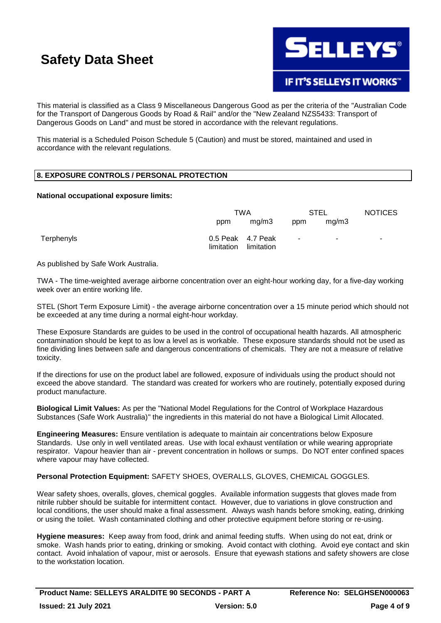

This material is classified as a Class 9 Miscellaneous Dangerous Good as per the criteria of the "Australian Code for the Transport of Dangerous Goods by Road & Rail" and/or the "New Zealand NZS5433: Transport of Dangerous Goods on Land" and must be stored in accordance with the relevant regulations.

This material is a Scheduled Poison Schedule 5 (Caution) and must be stored, maintained and used in accordance with the relevant regulations.

### **8. EXPOSURE CONTROLS / PERSONAL PROTECTION**

### **National occupational exposure limits:**

|            | TWA                             |            | <b>STEL</b> |        | <b>NOTICES</b> |
|------------|---------------------------------|------------|-------------|--------|----------------|
|            | ppm                             | mq/m3      | ppm         | mg/m3  |                |
| Terphenyls | 0.5 Peak 4.7 Peak<br>limitation | limitation | $\sim$      | $\sim$ | ٠              |

As published by Safe Work Australia.

TWA - The time-weighted average airborne concentration over an eight-hour working day, for a five-day working week over an entire working life.

STEL (Short Term Exposure Limit) - the average airborne concentration over a 15 minute period which should not be exceeded at any time during a normal eight-hour workday.

These Exposure Standards are guides to be used in the control of occupational health hazards. All atmospheric contamination should be kept to as low a level as is workable. These exposure standards should not be used as fine dividing lines between safe and dangerous concentrations of chemicals. They are not a measure of relative toxicity.

If the directions for use on the product label are followed, exposure of individuals using the product should not exceed the above standard. The standard was created for workers who are routinely, potentially exposed during product manufacture.

**Biological Limit Values:** As per the "National Model Regulations for the Control of Workplace Hazardous Substances (Safe Work Australia)" the ingredients in this material do not have a Biological Limit Allocated.

**Engineering Measures:** Ensure ventilation is adequate to maintain air concentrations below Exposure Standards. Use only in well ventilated areas. Use with local exhaust ventilation or while wearing appropriate respirator. Vapour heavier than air - prevent concentration in hollows or sumps. Do NOT enter confined spaces where vapour may have collected.

### **Personal Protection Equipment:** SAFETY SHOES, OVERALLS, GLOVES, CHEMICAL GOGGLES.

Wear safety shoes, overalls, gloves, chemical goggles. Available information suggests that gloves made from nitrile rubber should be suitable for intermittent contact. However, due to variations in glove construction and local conditions, the user should make a final assessment. Always wash hands before smoking, eating, drinking or using the toilet. Wash contaminated clothing and other protective equipment before storing or re-using.

**Hygiene measures:** Keep away from food, drink and animal feeding stuffs. When using do not eat, drink or smoke. Wash hands prior to eating, drinking or smoking. Avoid contact with clothing. Avoid eye contact and skin contact. Avoid inhalation of vapour, mist or aerosols. Ensure that eyewash stations and safety showers are close to the workstation location.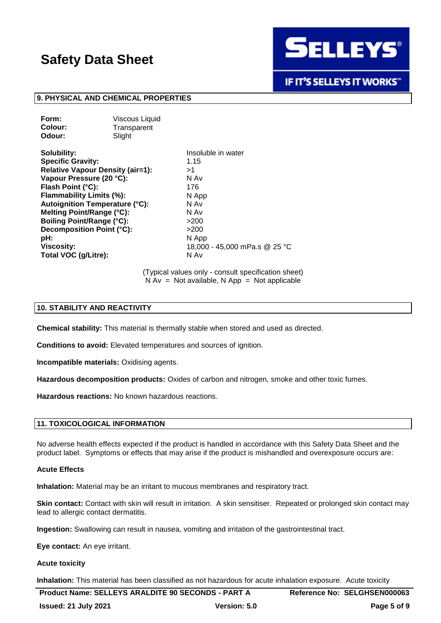

**IF IT'S SELLEYS IT WORKS"** 

### **9. PHYSICAL AND CHEMICAL PROPERTIES**

| <b>Viscous Liquid</b> |
|-----------------------|
| Transparent           |
| Slight                |
|                       |

**Solubility:** Insoluble in water **Specific Gravity:** 1.15 **Relative Vapour Density (air=1):** >1 **Vapour Pressure (20 °C):** N Av **Flash Point (°C):** 176 **Flammability Limits (%):** N App **Autoignition Temperature (°C):** N Av **Melting Point/Range (°C):** N Av **Boiling Point/Range (°C):**  $>200$ **Decomposition Point (°C):** >200 **pH:** N App **Viscosity:** 18,000 - 45,000 mPa.s @ 25 °C **Total VOC (g/Litre):** N Av

(Typical values only - consult specification sheet)  $N Av = Not available, N App = Not applicable$ 

### **10. STABILITY AND REACTIVITY**

**Chemical stability:** This material is thermally stable when stored and used as directed.

**Conditions to avoid:** Elevated temperatures and sources of ignition.

**Incompatible materials:** Oxidising agents.

**Hazardous decomposition products:** Oxides of carbon and nitrogen, smoke and other toxic fumes.

**Hazardous reactions:** No known hazardous reactions.

### **11. TOXICOLOGICAL INFORMATION**

No adverse health effects expected if the product is handled in accordance with this Safety Data Sheet and the product label. Symptoms or effects that may arise if the product is mishandled and overexposure occurs are:

#### **Acute Effects**

**Inhalation:** Material may be an irritant to mucous membranes and respiratory tract.

**Skin contact:** Contact with skin will result in irritation. A skin sensitiser. Repeated or prolonged skin contact may lead to allergic contact dermatitis.

**Ingestion:** Swallowing can result in nausea, vomiting and irritation of the gastrointestinal tract.

**Eye contact:** An eye irritant.

#### **Acute toxicity**

**Inhalation:** This material has been classified as not hazardous for acute inhalation exposure. Acute toxicity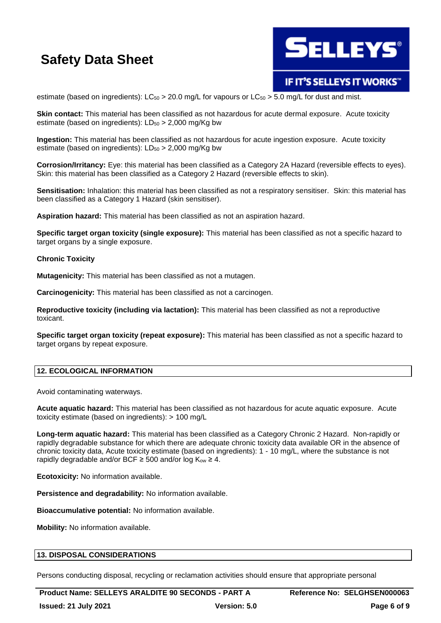

### **IF IT'S SELLEYS IT WORKS"**

estimate (based on ingredients):  $LC_{50} > 20.0$  mg/L for vapours or  $LC_{50} > 5.0$  mg/L for dust and mist.

**Skin contact:** This material has been classified as not hazardous for acute dermal exposure. Acute toxicity estimate (based on ingredients):  $LD_{50} > 2,000$  mg/Kg bw

**Ingestion:** This material has been classified as not hazardous for acute ingestion exposure. Acute toxicity estimate (based on ingredients):  $LD_{50} > 2,000$  mg/Kg bw

**Corrosion/Irritancy:** Eye: this material has been classified as a Category 2A Hazard (reversible effects to eyes). Skin: this material has been classified as a Category 2 Hazard (reversible effects to skin).

**Sensitisation:** Inhalation: this material has been classified as not a respiratory sensitiser. Skin: this material has been classified as a Category 1 Hazard (skin sensitiser).

**Aspiration hazard:** This material has been classified as not an aspiration hazard.

**Specific target organ toxicity (single exposure):** This material has been classified as not a specific hazard to target organs by a single exposure.

### **Chronic Toxicity**

**Mutagenicity:** This material has been classified as not a mutagen.

**Carcinogenicity:** This material has been classified as not a carcinogen.

**Reproductive toxicity (including via lactation):** This material has been classified as not a reproductive toxicant.

**Specific target organ toxicity (repeat exposure):** This material has been classified as not a specific hazard to target organs by repeat exposure.

### **12. ECOLOGICAL INFORMATION**

Avoid contaminating waterways.

**Acute aquatic hazard:** This material has been classified as not hazardous for acute aquatic exposure. Acute toxicity estimate (based on ingredients): > 100 mg/L

**Long-term aquatic hazard:** This material has been classified as a Category Chronic 2 Hazard. Non-rapidly or rapidly degradable substance for which there are adequate chronic toxicity data available OR in the absence of chronic toxicity data, Acute toxicity estimate (based on ingredients): 1 - 10 mg/L, where the substance is not rapidly degradable and/or BCF  $\geq$  500 and/or log K<sub>ow</sub>  $\geq$  4.

**Ecotoxicity:** No information available.

**Persistence and degradability:** No information available.

**Bioaccumulative potential:** No information available.

**Mobility:** No information available.

### **13. DISPOSAL CONSIDERATIONS**

Persons conducting disposal, recycling or reclamation activities should ensure that appropriate personal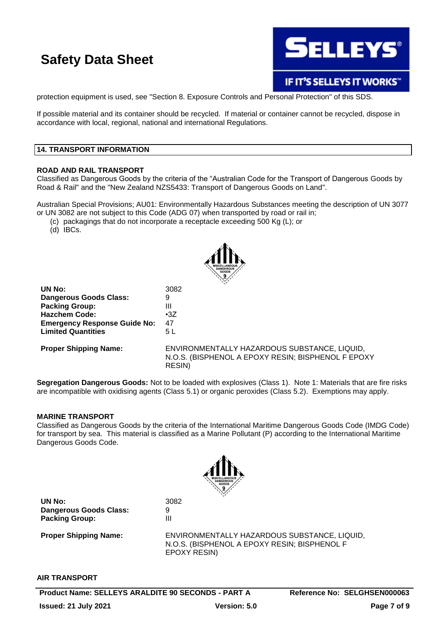

IF IT'S SELLEYS IT WORKS"

protection equipment is used, see "Section 8. Exposure Controls and Personal Protection" of this SDS.

If possible material and its container should be recycled. If material or container cannot be recycled, dispose in accordance with local, regional, national and international Regulations.

### **14. TRANSPORT INFORMATION**

### **ROAD AND RAIL TRANSPORT**

Classified as Dangerous Goods by the criteria of the "Australian Code for the Transport of Dangerous Goods by Road & Rail" and the "New Zealand NZS5433: Transport of Dangerous Goods on Land".

Australian Special Provisions; AU01: Environmentally Hazardous Substances meeting the description of UN 3077 or UN 3082 are not subject to this Code (ADG 07) when transported by road or rail in;

(c) packagings that do not incorporate a receptacle exceeding 500 Kg (L); or

(d) IBCs.



| 3082                  |
|-----------------------|
| 9                     |
| Ш                     |
| $\cdot 37$            |
| 47                    |
| 5 L                   |
|                       |
| ENVIRONMENTALLY HAZAI |
|                       |

RDOUS SUBSTANCE, LIQUID, N.O.S. (BISPHENOL A EPOXY RESIN; BISPHENOL F EPOXY RESIN)

**Segregation Dangerous Goods:** Not to be loaded with explosives (Class 1). Note 1: Materials that are fire risks are incompatible with oxidising agents (Class 5.1) or organic peroxides (Class 5.2). Exemptions may apply.

### **MARINE TRANSPORT**

Classified as Dangerous Goods by the criteria of the International Maritime Dangerous Goods Code (IMDG Code) for transport by sea. This material is classified as a Marine Pollutant (P) according to the International Maritime Dangerous Goods Code.



**UN No:** 3082 **Dangerous Goods Class:** 9 **Packing Group:** III

**Proper Shipping Name:** ENVIRONMENTALLY HAZARDOUS SUBSTANCE, LIQUID, N.O.S. (BISPHENOL A EPOXY RESIN; BISPHENOL F EPOXY RESIN)

### **AIR TRANSPORT**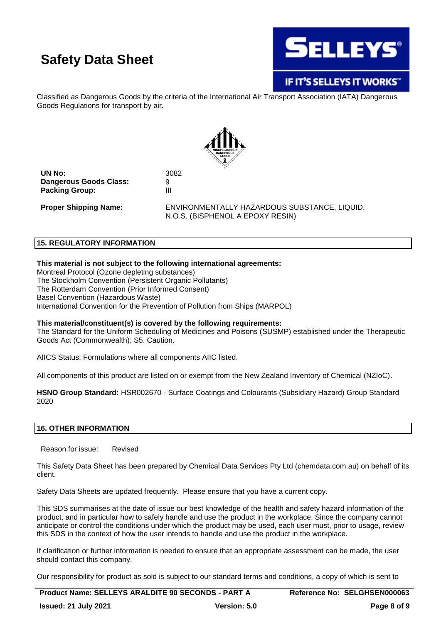

### IF IT'S SELLEYS IT WORKS"

Classified as Dangerous Goods by the criteria of the International Air Transport Association (IATA) Dangerous Goods Regulations for transport by air.



**UN No:** 3082 **Dangerous Goods Class:** 9<br>**Packing Group:** 11 **Packing Group:** 

**Proper Shipping Name:** ENVIRONMENTALLY HAZARDOUS SUBSTANCE, LIQUID, N.O.S. (BISPHENOL A EPOXY RESIN)

### **15. REGULATORY INFORMATION**

### **This material is not subject to the following international agreements:**

Montreal Protocol (Ozone depleting substances) The Stockholm Convention (Persistent Organic Pollutants) The Rotterdam Convention (Prior Informed Consent) Basel Convention (Hazardous Waste) International Convention for the Prevention of Pollution from Ships (MARPOL)

### **This material/constituent(s) is covered by the following requirements:**

The Standard for the Uniform Scheduling of Medicines and Poisons (SUSMP) established under the Therapeutic Goods Act (Commonwealth); S5. Caution.

AIICS Status: Formulations where all components AIIC listed.

All components of this product are listed on or exempt from the New Zealand Inventory of Chemical (NZIoC).

**HSNO Group Standard:** HSR002670 - Surface Coatings and Colourants (Subsidiary Hazard) Group Standard 2020

### **16. OTHER INFORMATION**

Reason for issue: Revised

This Safety Data Sheet has been prepared by Chemical Data Services Pty Ltd (chemdata.com.au) on behalf of its client.

Safety Data Sheets are updated frequently. Please ensure that you have a current copy.

This SDS summarises at the date of issue our best knowledge of the health and safety hazard information of the product, and in particular how to safely handle and use the product in the workplace. Since the company cannot anticipate or control the conditions under which the product may be used, each user must, prior to usage, review this SDS in the context of how the user intends to handle and use the product in the workplace.

If clarification or further information is needed to ensure that an appropriate assessment can be made, the user should contact this company.

Our responsibility for product as sold is subject to our standard terms and conditions, a copy of which is sent to